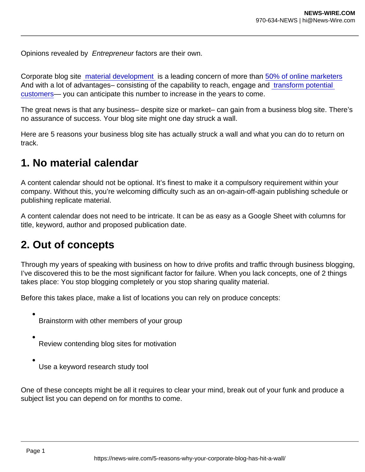Opinions revealed by Entrepreneur factors are their own.

Corporate blog site [material development](https://www.entrepreneur.com/article/353351) is a leading concern of more than [50% of online marketers](https://www.hubspot.com/state-of-marketing) And with a lot of advantages– consisting of the capability to reach, engage and [transform potential](https://www.entrepreneur.com/article/237130)  [customers](https://www.entrepreneur.com/article/237130)— you can anticipate this number to increase in the years to come.

The great news is that any business– despite size or market– can gain from a business blog site. There's no assurance of success. Your blog site might one day struck a wall.

Here are 5 reasons your business blog site has actually struck a wall and what you can do to return on track.

#### 1. No material calendar

A content calendar should not be optional. It's finest to make it a compulsory requirement within your company. Without this, you're welcoming difficulty such as an on-again-off-again publishing schedule or publishing replicate material.

A content calendar does not need to be intricate. It can be as easy as a Google Sheet with columns for title, keyword, author and proposed publication date.

## 2. Out of concepts

Through my years of speaking with business on how to drive profits and traffic through business blogging, I've discovered this to be the most significant factor for failure. When you lack concepts, one of 2 things takes place: You stop blogging completely or you stop sharing quality material.

Before this takes place, make a list of locations you can rely on produce concepts:

- Brainstorm with other members of your group
- Review contending blog sites for motivation
- Use a keyword research study tool

One of these concepts might be all it requires to clear your mind, break out of your funk and produce a subject list you can depend on for months to come.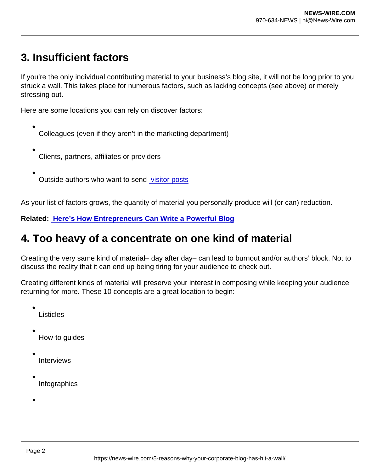# 3. Insufficient factors

If you're the only individual contributing material to your business's blog site, it will not be long prior to you struck a wall. This takes place for numerous factors, such as lacking concepts (see above) or merely stressing out.

Here are some locations you can rely on discover factors:

- Colleagues (even if they aren't in the marketing department)
- Clients, partners, affiliates or providers
- Outside authors who want to send [visitor posts](https://www.entrepreneur.com/article/304857)

As your list of factors grows, the quantity of material you personally produce will (or can) reduction.

Related: [Here's How Entrepreneurs Can Write a Powerful Blog](https://www.entrepreneur.com/article/317598)

## 4. Too heavy of a concentrate on one kind of material

Creating the very same kind of material– day after day– can lead to burnout and/or authors' block. Not to discuss the reality that it can end up being tiring for your audience to check out.

Creating different kinds of material will preserve your interest in composing while keeping your audience returning for more. These 10 concepts are a great location to begin:

Listicles

How-to guides

- Interviews
- Infographics
-